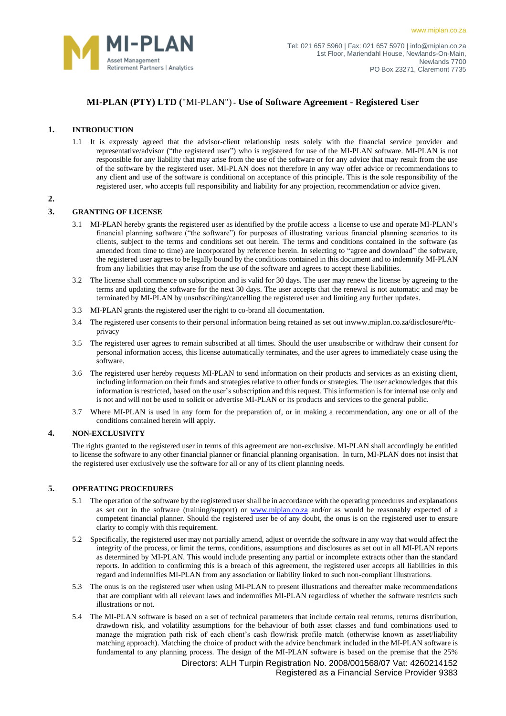

[www.miplan.co.za](http://www.miplan.co.za/)

# **MI-PLAN (PTY) LTD (**"MI-PLAN") - **Use of Software Agreement - Registered User**

# **1. INTRODUCTION**

1.1 It is expressly agreed that the advisor-client relationship rests solely with the financial service provider and representative/advisor ("the registered user") who is registered for use of the MI-PLAN software. MI-PLAN is not responsible for any liability that may arise from the use of the software or for any advice that may result from the use of the software by the registered user. MI-PLAN does not therefore in any way offer advice or recommendations to any client and use of the software is conditional on acceptance of this principle. This is the sole responsibility of the registered user, who accepts full responsibility and liability for any projection, recommendation or advice given.

### **2.**

# **3. GRANTING OF LICENSE**

- 3.1 MI-PLAN hereby grants the registered user as identified by the profile access a license to use and operate MI-PLAN's financial planning software ("the software") for purposes of illustrating various financial planning scenarios to its clients, subject to the terms and conditions set out herein. The terms and conditions contained in the software (as amended from time to time) are incorporated by reference herein. In selecting to "agree and download" the software, the registered user agrees to be legally bound by the conditions contained in this document and to indemnify MI-PLAN from any liabilities that may arise from the use of the software and agrees to accept these liabilities.
- 3.2 The license shall commence on subscription and is valid for 30 days. The user may renew the license by agreeing to the terms and updating the software for the next 30 days. The user accepts that the renewal is not automatic and may be terminated by MI-PLAN by unsubscribing/cancelling the registered user and limiting any further updates.
- 3.3 MI-PLAN grants the registered user the right to co-brand all documentation.
- 3.4 The registered user consents to their personal information being retained as set out i[nwww.miplan.co.za/disclosure/#tc](http://www.miplan.co.za/disclosure/#tc-privacy)[privacy](http://www.miplan.co.za/disclosure/#tc-privacy)
- 3.5 The registered user agrees to remain subscribed at all times. Should the user unsubscribe or withdraw their consent for personal information access, this license automatically terminates, and the user agrees to immediately cease using the software.
- 3.6 The registered user hereby requests MI-PLAN to send information on their products and services as an existing client, including information on their funds and strategies relative to other funds or strategies. The user acknowledges that this information is restricted, based on the user's subscription and this request. This information is for internal use only and is not and will not be used to solicit or advertise MI-PLAN or its products and services to the general public.
- 3.7 Where MI-PLAN is used in any form for the preparation of, or in making a recommendation, any one or all of the conditions contained herein will apply.

# **4. NON-EXCLUSIVITY**

The rights granted to the registered user in terms of this agreement are non-exclusive. MI-PLAN shall accordingly be entitled to license the software to any other financial planner or financial planning organisation. In turn, MI-PLAN does not insist that the registered user exclusively use the software for all or any of its client planning needs.

## **5. OPERATING PROCEDURES**

- 5.1 The operation of the software by the registered user shall be in accordance with the operating procedures and explanations as set out in the software (training/support) or [www.miplan.co.za](http://www.miplan.co.za/) and/or as would be reasonably expected of a competent financial planner. Should the registered user be of any doubt, the onus is on the registered user to ensure clarity to comply with this requirement.
- 5.2 Specifically, the registered user may not partially amend, adjust or override the software in any way that would affect the integrity of the process, or limit the terms, conditions, assumptions and disclosures as set out in all MI-PLAN reports as determined by MI-PLAN. This would include presenting any partial or incomplete extracts other than the standard reports. In addition to confirming this is a breach of this agreement, the registered user accepts all liabilities in this regard and indemnifies MI-PLAN from any association or liability linked to such non-compliant illustrations.
- 5.3 The onus is on the registered user when using MI-PLAN to present illustrations and thereafter make recommendations that are compliant with all relevant laws and indemnifies MI-PLAN regardless of whether the software restricts such illustrations or not.
- 5.4 The MI-PLAN software is based on a set of technical parameters that include certain real returns, returns distribution, drawdown risk, and volatility assumptions for the behaviour of both asset classes and fund combinations used to manage the migration path risk of each client's cash flow/risk profile match (otherwise known as asset/liability matching approach). Matching the choice of product with the advice benchmark included in the MI-PLAN software is fundamental to any planning process. The design of the MI-PLAN software is based on the premise that the 25%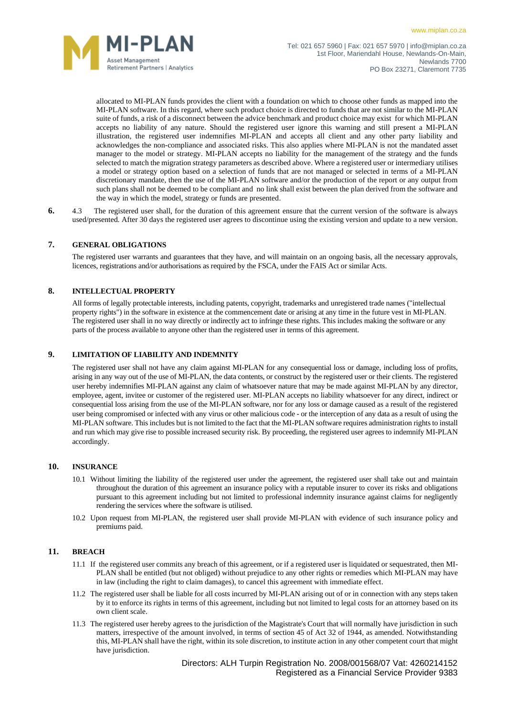

allocated to MI-PLAN funds provides the client with a foundation on which to choose other funds as mapped into the MI-PLAN software. In this regard, where such product choice is directed to funds that are not similar to the MI-PLAN suite of funds, a risk of a disconnect between the advice benchmark and product choice may exist for which MI-PLAN accepts no liability of any nature. Should the registered user ignore this warning and still present a MI-PLAN illustration, the registered user indemnifies MI-PLAN and accepts all client and any other party liability and acknowledges the non-compliance and associated risks. This also applies where MI-PLAN is not the mandated asset manager to the model or strategy. MI-PLAN accepts no liability for the management of the strategy and the funds selected to match the migration strategy parameters as described above. Where a registered user or intermediary utilises a model or strategy option based on a selection of funds that are not managed or selected in terms of a MI-PLAN discretionary mandate, then the use of the MI-PLAN software and/or the production of the report or any output from such plans shall not be deemed to be compliant and no link shall exist between the plan derived from the software and the way in which the model, strategy or funds are presented.

**6.** 4.3 The registered user shall, for the duration of this agreement ensure that the current version of the software is always used/presented. After 30 days the registered user agrees to discontinue using the existing version and update to a new version.

#### **7. GENERAL OBLIGATIONS**

The registered user warrants and guarantees that they have, and will maintain on an ongoing basis, all the necessary approvals, licences, registrations and/or authorisations as required by the FSCA, under the FAIS Act or similar Acts.

#### **8. INTELLECTUAL PROPERTY**

All forms of legally protectable interests, including patents, copyright, trademarks and unregistered trade names ("intellectual property rights") in the software in existence at the commencement date or arising at any time in the future vest in MI-PLAN. The registered user shall in no way directly or indirectly act to infringe these rights. This includes making the software or any parts of the process available to anyone other than the registered user in terms of this agreement.

#### **9. LIMITATION OF LIABILITY AND INDEMNITY**

The registered user shall not have any claim against MI-PLAN for any consequential loss or damage, including loss of profits, arising in any way out of the use of MI-PLAN, the data contents, or construct by the registered user or their clients. The registered user hereby indemnifies MI-PLAN against any claim of whatsoever nature that may be made against MI-PLAN by any director, employee, agent, invitee or customer of the registered user. MI-PLAN accepts no liability whatsoever for any direct, indirect or consequential loss arising from the use of the MI-PLAN software, nor for any loss or damage caused as a result of the registered user being compromised or infected with any virus or other malicious code - or the interception of any data as a result of using the MI-PLAN software. This includes but is not limited to the fact that the MI-PLAN software requires administration rights to install and run which may give rise to possible increased security risk. By proceeding, the registered user agrees to indemnify MI-PLAN accordingly.

#### **10. INSURANCE**

- 10.1 Without limiting the liability of the registered user under the agreement, the registered user shall take out and maintain throughout the duration of this agreement an insurance policy with a reputable insurer to cover its risks and obligations pursuant to this agreement including but not limited to professional indemnity insurance against claims for negligently rendering the services where the software is utilised.
- 10.2 Upon request from MI-PLAN, the registered user shall provide MI-PLAN with evidence of such insurance policy and premiums paid.

## **11. BREACH**

- 11.1 If the registered user commits any breach of this agreement, or if a registered user is liquidated or sequestrated, then MI-PLAN shall be entitled (but not obliged) without prejudice to any other rights or remedies which MI-PLAN may have in law (including the right to claim damages), to cancel this agreement with immediate effect.
- 11.2 The registered user shall be liable for all costs incurred by MI-PLAN arising out of or in connection with any steps taken by it to enforce its rights in terms of this agreement, including but not limited to legal costs for an attorney based on its own client scale.
- 11.3 The registered user hereby agrees to the jurisdiction of the Magistrate's Court that will normally have jurisdiction in such matters, irrespective of the amount involved, in terms of section 45 of Act 32 of 1944, as amended. Notwithstanding this, MI-PLAN shall have the right, within its sole discretion, to institute action in any other competent court that might have jurisdiction.